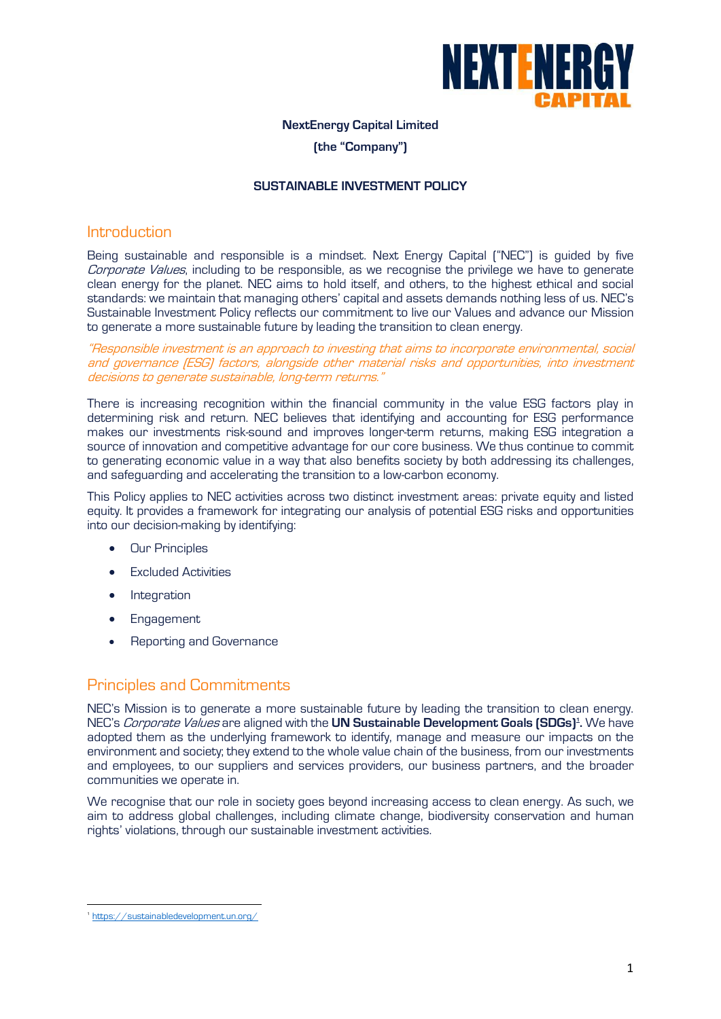

# **NextEnergy Capital Limited**

## **(the "Company")**

#### **SUSTAINABLE INVESTMENT POLICY**

# Introduction

Being sustainable and responsible is a mindset. Next Energy Capital ("NEC") is guided by five Corporate Values, including to be responsible, as we recognise the privilege we have to generate clean energy for the planet. NEC aims to hold itself, and others, to the highest ethical and social standards: we maintain that managing others' capital and assets demands nothing less of us. NEC's Sustainable Investment Policy reflects our commitment to live our Values and advance our Mission to generate a more sustainable future by leading the transition to clean energy.

"Responsible investment is an approach to investing that aims to incorporate environmental, social and governance (ESG) factors, alongside other material risks and opportunities, into investment decisions to generate sustainable, long-term returns."

There is increasing recognition within the financial community in the value ESG factors play in determining risk and return. NEC believes that identifying and accounting for ESG performance makes our investments risk-sound and improves longer-term returns, making ESG integration a source of innovation and competitive advantage for our core business. We thus continue to commit to generating economic value in a way that also benefits society by both addressing its challenges, and safeguarding and accelerating the transition to a low-carbon economy.

This Policy applies to NEC activities across two distinct investment areas: private equity and listed equity. It provides a framework for integrating our analysis of potential ESG risks and opportunities into our decision-making by identifying:

- Our Principles
- Excluded Activities
- Integration
- Engagement
- Reporting and Governance

# Principles and Commitments

NEC's Mission is to generate a more sustainable future by leading the transition to clean energy. NEC's Corporate Values are aligned with the **UN Sustainable Development Goals (SDGs)<sup>1</sup> .** We have adopted them as the underlying framework to identify, manage and measure our impacts on the environment and society; they extend to the whole value chain of the business, from our investments and employees, to our suppliers and services providers, our business partners, and the broader communities we operate in.

We recognise that our role in society goes beyond increasing access to clean energy. As such, we aim to address global challenges, including climate change, biodiversity conservation and human rights' violations, through our sustainable investment activities.

<sup>1</sup> <https://sustainabledevelopment.un.org/>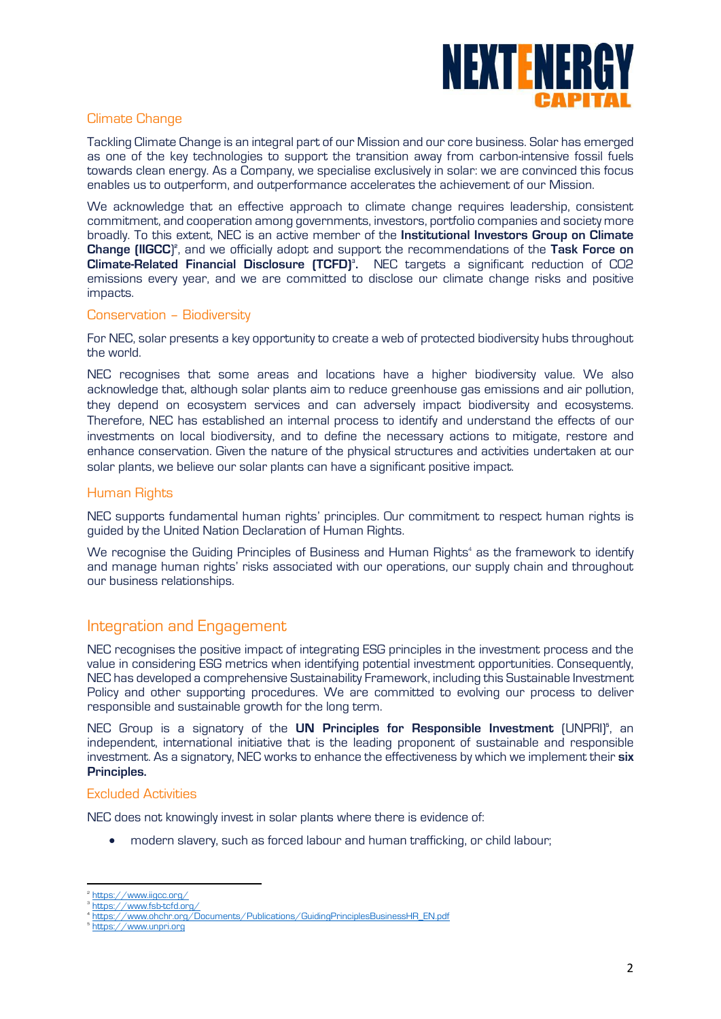

# Climate Change

Tackling Climate Change is an integral part of our Mission and our core business. Solar has emerged as one of the key technologies to support the transition away from carbon-intensive fossil fuels towards clean energy. As a Company, we specialise exclusively in solar: we are convinced this focus enables us to outperform, and outperformance accelerates the achievement of our Mission.

We acknowledge that an effective approach to climate change requires leadership, consistent commitment, and cooperation among governments, investors, portfolio companies and society more broadly. To this extent, NEC is an active member of the **Institutional Investors Group on Climate Change (IIGCC)<sup>2</sup>, and we officially adopt and support the recommendations of the Task Force on Climate-Related Financial Disclosure (TCFD)<sup>3</sup> .** NEC targets a significant reduction of CO2 emissions every year, and we are committed to disclose our climate change risks and positive impacts.

### Conservation – Biodiversity

For NEC, solar presents a key opportunity to create a web of protected biodiversity hubs throughout the world.

NEC recognises that some areas and locations have a higher biodiversity value. We also acknowledge that, although solar plants aim to reduce greenhouse gas emissions and air pollution, they depend on ecosystem services and can adversely impact biodiversity and ecosystems. Therefore, NEC has established an internal process to identify and understand the effects of our investments on local biodiversity, and to define the necessary actions to mitigate, restore and enhance conservation. Given the nature of the physical structures and activities undertaken at our solar plants, we believe our solar plants can have a significant positive impact.

### Human Rights

NEC supports fundamental human rights' principles. Our commitment to respect human rights is guided by the United Nation Declaration of Human Rights.

We recognise the Guiding Principles of Business and Human Rights<sup>4</sup> as the framework to identify and manage human rights' risks associated with our operations, our supply chain and throughout our business relationships.

# Integration and Engagement

NEC recognises the positive impact of integrating ESG principles in the investment process and the value in considering ESG metrics when identifying potential investment opportunities. Consequently, NEC has developed a comprehensive Sustainability Framework, including this Sustainable Investment Policy and other supporting procedures. We are committed to evolving our process to deliver responsible and sustainable growth for the long term.

NEC Group is a signatory of the UN Principles for Responsible Investment (UNPRI)<sup>5</sup>, an independent, international initiative that is the leading proponent of sustainable and responsible investment. As a signatory, NEC works to enhance the effectiveness by which we implement their **six Principles.**

# Excluded Activities

NEC does not knowingly invest in solar plants where there is evidence of:

• modern slavery, such as forced labour and human trafficking, or child labour;

<sup>&</sup>lt;sup>2</sup> <https://www.iigcc.org/>

<sup>3</sup> <https://www.fsb-tcfd.org/>

<sup>4</sup> [https://www.ohchr.org/Documents/Publications/GuidingPrinciplesBusinessHR\\_EN.pdf](https://www.ohchr.org/Documents/Publications/GuidingPrinciplesBusinessHR_EN.pdf)

<sup>5</sup> [https://www.unpri.org](https://www.unpri.org/)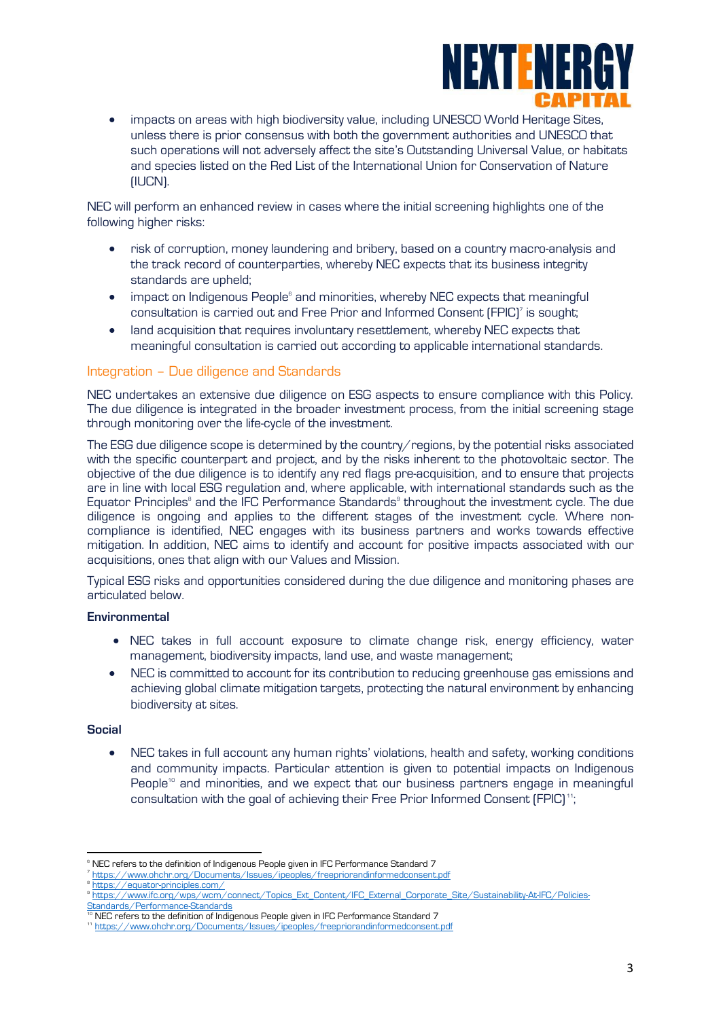

• impacts on areas with high biodiversity value, including UNESCO World Heritage Sites, unless there is prior consensus with both the government authorities and UNESCO that such operations will not adversely affect the site's Outstanding Universal Value, or habitats and species listed on the Red List of the International Union for Conservation of Nature (IUCN).

NEC will perform an enhanced review in cases where the initial screening highlights one of the following higher risks:

- risk of corruption, money laundering and bribery, based on a country macro-analysis and the track record of counterparties, whereby NEC expects that its business integrity standards are upheld;
- impact on Indigenous People<sup>6</sup> and minorities, whereby NEC expects that meaningful consultation is carried out and Free Prior and Informed Consent (FPIC)<sup>7</sup> is sought;
- land acquisition that requires involuntary resettlement, whereby NEC expects that meaningful consultation is carried out according to applicable international standards.

# Integration – Due diligence and Standards

NEC undertakes an extensive due diligence on ESG aspects to ensure compliance with this Policy. The due diligence is integrated in the broader investment process, from the initial screening stage through monitoring over the life-cycle of the investment.

The ESG due diligence scope is determined by the country/regions, by the potential risks associated with the specific counterpart and project, and by the risks inherent to the photovoltaic sector. The objective of the due diligence is to identify any red flags pre-acquisition, and to ensure that projects are in line with local ESG regulation and, where applicable, with international standards such as the Equator Principles<sup>8</sup> and the IFC Performance Standards<sup>8</sup> throughout the investment cycle. The due diligence is ongoing and applies to the different stages of the investment cycle. Where noncompliance is identified, NEC engages with its business partners and works towards effective mitigation. In addition, NEC aims to identify and account for positive impacts associated with our acquisitions, ones that align with our Values and Mission.

Typical ESG risks and opportunities considered during the due diligence and monitoring phases are articulated below.

### **Environmental**

- NEC takes in full account exposure to climate change risk, energy efficiency, water management, biodiversity impacts, land use, and waste management;
- NEC is committed to account for its contribution to reducing greenhouse gas emissions and achieving global climate mitigation targets, protecting the natural environment by enhancing biodiversity at sites.

#### **Social**

• NEC takes in full account any human rights' violations, health and safety, working conditions and community impacts. Particular attention is given to potential impacts on Indigenous People<sup>10</sup> and minorities, and we expect that our business partners engage in meaningful consultation with the goal of achieving their Free Prior Informed Consent (FPIC) <sup>11</sup>;

<sup>&</sup>lt;sup>6</sup> NEC refers to the definition of Indigenous People given in IFC Performance Standard 7

<sup>7</sup> <https://www.ohchr.org/Documents/Issues/ipeoples/freepriorandinformedconsent.pdf> 8

<https://equator-principles.com/> 9 [https://www.ifc.org/wps/wcm/connect/Topics\\_Ext\\_Content/IFC\\_External\\_Corporate\\_Site/Sustainability-At-IFC/Policies-](https://www.ifc.org/wps/wcm/connect/Topics_Ext_Content/IFC_External_Corporate_Site/Sustainability-At-IFC/Policies-Standards/Performance-Standards)[Standards/Performance-Standards](https://www.ifc.org/wps/wcm/connect/Topics_Ext_Content/IFC_External_Corporate_Site/Sustainability-At-IFC/Policies-Standards/Performance-Standards)

<sup>&</sup>lt;sup>10</sup> NEC refers to the definition of Indigenous People given in IFC Performance Standard 7

<sup>11</sup> <https://www.ohchr.org/Documents/Issues/ipeoples/freepriorandinformedconsent.pdf>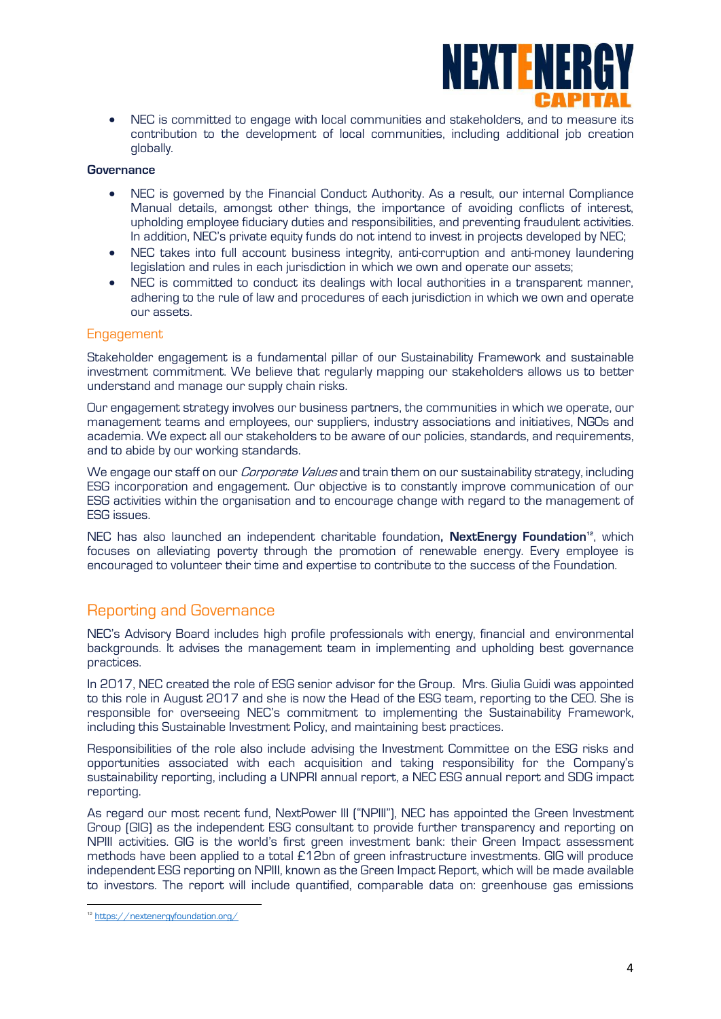

• NEC is committed to engage with local communities and stakeholders, and to measure its contribution to the development of local communities, including additional job creation globally.

#### **Governance**

- NEC is governed by the Financial Conduct Authority. As a result, our internal Compliance Manual details, amongst other things, the importance of avoiding conflicts of interest, upholding employee fiduciary duties and responsibilities, and preventing fraudulent activities. In addition, NEC's private equity funds do not intend to invest in projects developed by NEC;
- NEC takes into full account business integrity, anti-corruption and anti-money laundering legislation and rules in each jurisdiction in which we own and operate our assets;
- NEC is committed to conduct its dealings with local authorities in a transparent manner, adhering to the rule of law and procedures of each jurisdiction in which we own and operate our assets.

#### **Engagement**

Stakeholder engagement is a fundamental pillar of our Sustainability Framework and sustainable investment commitment. We believe that regularly mapping our stakeholders allows us to better understand and manage our supply chain risks.

Our engagement strategy involves our business partners, the communities in which we operate, our management teams and employees, our suppliers, industry associations and initiatives, NGOs and academia. We expect all our stakeholders to be aware of our policies, standards, and requirements, and to abide by our working standards.

We engage our staff on our *Corporate Values* and train them on our sustainability strategy, including ESG incorporation and engagement. Our objective is to constantly improve communication of our ESG activities within the organisation and to encourage change with regard to the management of ESG issues.

NEC has also launched an independent charitable foundation**, NextEnergy Foundation12**, which focuses on alleviating poverty through the promotion of renewable energy. Every employee is encouraged to volunteer their time and expertise to contribute to the success of the Foundation.

# Reporting and Governance

NEC's Advisory Board includes high profile professionals with energy, financial and environmental backgrounds. It advises the management team in implementing and upholding best governance practices.

In 2017, NEC created the role of ESG senior advisor for the Group. Mrs. Giulia Guidi was appointed to this role in August 2017 and she is now the Head of the ESG team, reporting to the CEO. She is responsible for overseeing NEC's commitment to implementing the Sustainability Framework, including this Sustainable Investment Policy, and maintaining best practices.

Responsibilities of the role also include advising the Investment Committee on the ESG risks and opportunities associated with each acquisition and taking responsibility for the Company's sustainability reporting, including a UNPRI annual report, a NEC ESG annual report and SDG impact reporting.

As regard our most recent fund, NextPower III ("NPIII"), NEC has appointed the Green Investment Group (GIG) as the independent ESG consultant to provide further transparency and reporting on NPIII activities. GIG is the world's first green investment bank: their Green Impact assessment methods have been applied to a total £12bn of green infrastructure investments. GIG will produce independent ESG reporting on NPIII, known as the Green Impact Report, which will be made available to investors. The report will include quantified, comparable data on: greenhouse gas emissions

<sup>12</sup> <https://nextenergyfoundation.org/>